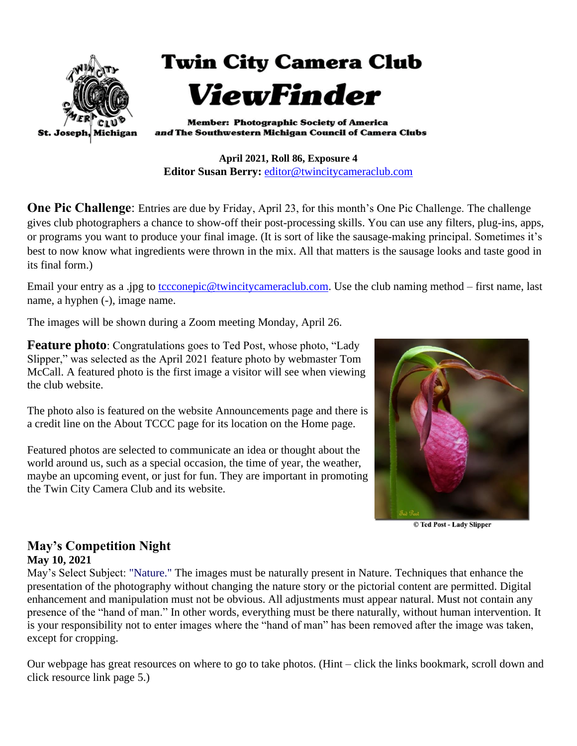

**April 2021, Roll 86, Exposure 4 Editor Susan Berry:** [editor@twincitycameraclub.com](mailto:editor@twincitycameraclub.com)

**One Pic Challenge:** Entries are due by Friday, April 23, for this month's One Pic Challenge. The challenge gives club photographers a chance to show-off their post-processing skills. You can use any filters, plug-ins, apps, or programs you want to produce your final image. (It is sort of like the sausage-making principal. Sometimes it's best to now know what ingredients were thrown in the mix. All that matters is the sausage looks and taste good in its final form.)

Email your entry as a .jpg to [tccconepic@twincitycameraclub.com.](mailto:tccconepic@twincitycameraclub.com) Use the club naming method – first name, last name, a hyphen (-), image name.

The images will be shown during a Zoom meeting Monday, April 26.

**Feature photo**: Congratulations goes to Ted Post, whose photo, "Lady" Slipper," was selected as the April 2021 feature photo by webmaster Tom McCall. A featured photo is the first image a visitor will see when viewing the club website.

The photo also is featured on the website Announcements page and there is a credit line on the About TCCC page for its location on the Home page.

Featured photos are selected to communicate an idea or thought about the world around us, such as a special occasion, the time of year, the weather, maybe an upcoming event, or just for fun. They are important in promoting the Twin City Camera Club and its website.



© Ted Post - Lady Slipper

#### **May's Competition Night May 10, 2021**

May's Select Subject: "Nature." The images must be naturally present in Nature. Techniques that enhance the presentation of the photography without changing the nature story or the pictorial content are permitted. Digital enhancement and manipulation must not be obvious. All adjustments must appear natural. Must not contain any presence of the "hand of man." In other words, everything must be there naturally, without human intervention. It is your responsibility not to enter images where the "hand of man" has been removed after the image was taken, except for cropping.

Our webpage has great resources on where to go to take photos. (Hint – click the links bookmark, scroll down and click resource link page 5.)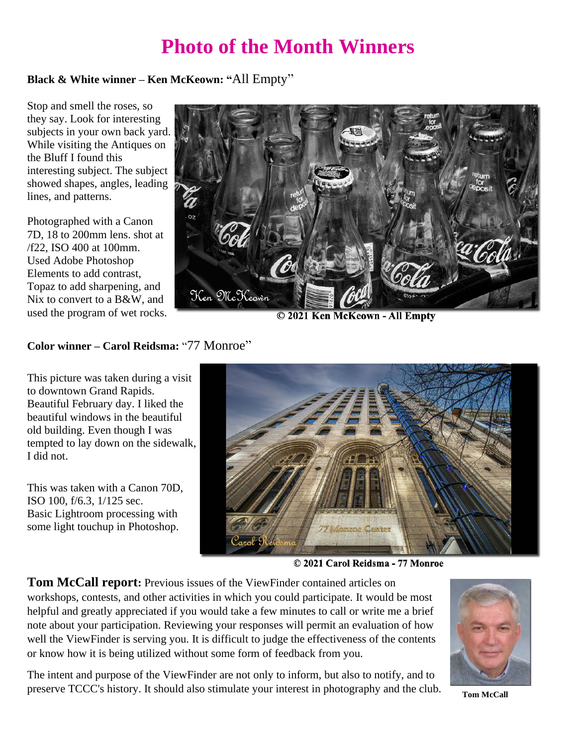## **Photo of the Month Winners**

#### **Black & White winner – Ken McKeown: "**All Empty"

Stop and smell the roses, so they say. Look for interesting subjects in your own back yard. While visiting the Antiques on the Bluff I found this interesting subject. The subject showed shapes, angles, leading lines, and patterns.

Photographed with a Canon 7D, 18 to 200mm lens. shot at /f22, ISO 400 at 100mm. Used Adobe Photoshop Elements to add contrast, Topaz to add sharpening, and Nix to convert to a B&W, and used the program of wet rocks.



© 2021 Ken McKeown - All Empty

#### **Color winner – Carol Reidsma:** "77 Monroe"

This picture was taken during a visit to downtown Grand Rapids. Beautiful February day. I liked the beautiful windows in the beautiful old building. Even though I was tempted to lay down on the sidewalk, I did not.

This was taken with a Canon 70D, ISO 100, f/6.3, 1/125 sec. Basic Lightroom processing with some light touchup in Photoshop.



© 2021 Carol Reidsma - 77 Monroe

**Tom McCall report:** Previous issues of the ViewFinder contained articles on workshops, contests, and other activities in which you could participate. It would be most helpful and greatly appreciated if you would take a few minutes to call or write me a brief note about your participation. Reviewing your responses will permit an evaluation of how well the ViewFinder is serving you. It is difficult to judge the effectiveness of the contents or know how it is being utilized without some form of feedback from you.

The intent and purpose of the ViewFinder are not only to inform, but also to notify, and to preserve TCCC's history. It should also stimulate your interest in photography and the club. **Tom McCall** 

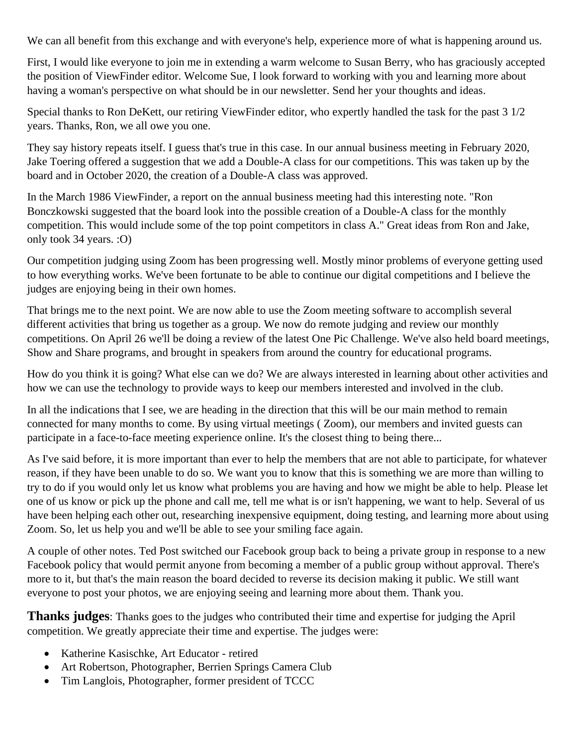We can all benefit from this exchange and with everyone's help, experience more of what is happening around us.

First, I would like everyone to join me in extending a warm welcome to Susan Berry, who has graciously accepted the position of ViewFinder editor. Welcome Sue, I look forward to working with you and learning more about having a woman's perspective on what should be in our newsletter. Send her your thoughts and ideas.

Special thanks to Ron DeKett, our retiring ViewFinder editor, who expertly handled the task for the past 3 1/2 years. Thanks, Ron, we all owe you one.

They say history repeats itself. I guess that's true in this case. In our annual business meeting in February 2020, Jake Toering offered a suggestion that we add a Double-A class for our competitions. This was taken up by the board and in October 2020, the creation of a Double-A class was approved.

In the March 1986 ViewFinder, a report on the annual business meeting had this interesting note. "Ron Bonczkowski suggested that the board look into the possible creation of a Double-A class for the monthly competition. This would include some of the top point competitors in class A." Great ideas from Ron and Jake, only took 34 years. :O)

Our competition judging using Zoom has been progressing well. Mostly minor problems of everyone getting used to how everything works. We've been fortunate to be able to continue our digital competitions and I believe the judges are enjoying being in their own homes.

That brings me to the next point. We are now able to use the Zoom meeting software to accomplish several different activities that bring us together as a group. We now do remote judging and review our monthly competitions. On April 26 we'll be doing a review of the latest One Pic Challenge. We've also held board meetings, Show and Share programs, and brought in speakers from around the country for educational programs.

How do you think it is going? What else can we do? We are always interested in learning about other activities and how we can use the technology to provide ways to keep our members interested and involved in the club.

In all the indications that I see, we are heading in the direction that this will be our main method to remain connected for many months to come. By using virtual meetings ( Zoom), our members and invited guests can participate in a face-to-face meeting experience online. It's the closest thing to being there...

As I've said before, it is more important than ever to help the members that are not able to participate, for whatever reason, if they have been unable to do so. We want you to know that this is something we are more than willing to try to do if you would only let us know what problems you are having and how we might be able to help. Please let one of us know or pick up the phone and call me, tell me what is or isn't happening, we want to help. Several of us have been helping each other out, researching inexpensive equipment, doing testing, and learning more about using Zoom. So, let us help you and we'll be able to see your smiling face again.

A couple of other notes. Ted Post switched our Facebook group back to being a private group in response to a new Facebook policy that would permit anyone from becoming a member of a public group without approval. There's more to it, but that's the main reason the board decided to reverse its decision making it public. We still want everyone to post your photos, we are enjoying seeing and learning more about them. Thank you.

**Thanks judges**: Thanks goes to the judges who contributed their time and expertise for judging the April competition. We greatly appreciate their time and expertise. The judges were:

- Katherine Kasischke, Art Educator retired
- Art Robertson, Photographer, Berrien Springs Camera Club
- Tim Langlois, Photographer, former president of TCCC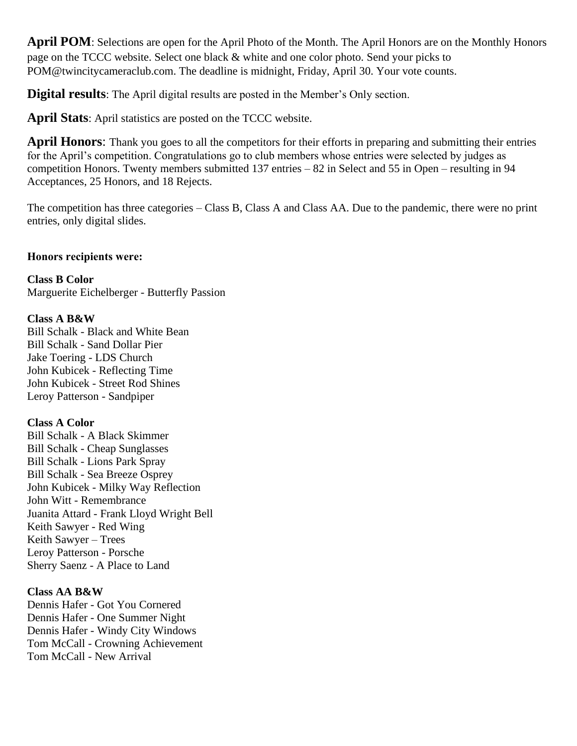**April POM**: Selections are open for the April Photo of the Month. The April Honors are on the Monthly Honors page on the TCCC website. Select one black & white and one color photo. Send your picks to POM@twincitycameraclub.com. The deadline is midnight, Friday, April 30. Your vote counts.

**Digital results**: The April digital results are posted in the Member's Only section.

**April Stats**: April statistics are posted on the TCCC website.

**April Honors**: Thank you goes to all the competitors for their efforts in preparing and submitting their entries for the April's competition. Congratulations go to club members whose entries were selected by judges as competition Honors. Twenty members submitted 137 entries – 82 in Select and 55 in Open – resulting in 94 Acceptances, 25 Honors, and 18 Rejects.

The competition has three categories – Class B, Class A and Class AA. Due to the pandemic, there were no print entries, only digital slides.

#### **Honors recipients were:**

**Class B Color** Marguerite Eichelberger - Butterfly Passion

#### **Class A B&W**

Bill Schalk - Black and White Bean Bill Schalk - Sand Dollar Pier Jake Toering - LDS Church John Kubicek - Reflecting Time John Kubicek - Street Rod Shines Leroy Patterson - Sandpiper

#### **Class A Color**

Bill Schalk - A Black Skimmer Bill Schalk - Cheap Sunglasses Bill Schalk - Lions Park Spray Bill Schalk - Sea Breeze Osprey John Kubicek - Milky Way Reflection John Witt - Remembrance Juanita Attard - Frank Lloyd Wright Bell Keith Sawyer - Red Wing Keith Sawyer – Trees Leroy Patterson - Porsche Sherry Saenz - A Place to Land

#### **Class AA B&W**

Dennis Hafer - Got You Cornered Dennis Hafer - One Summer Night Dennis Hafer - Windy City Windows Tom McCall - Crowning Achievement Tom McCall - New Arrival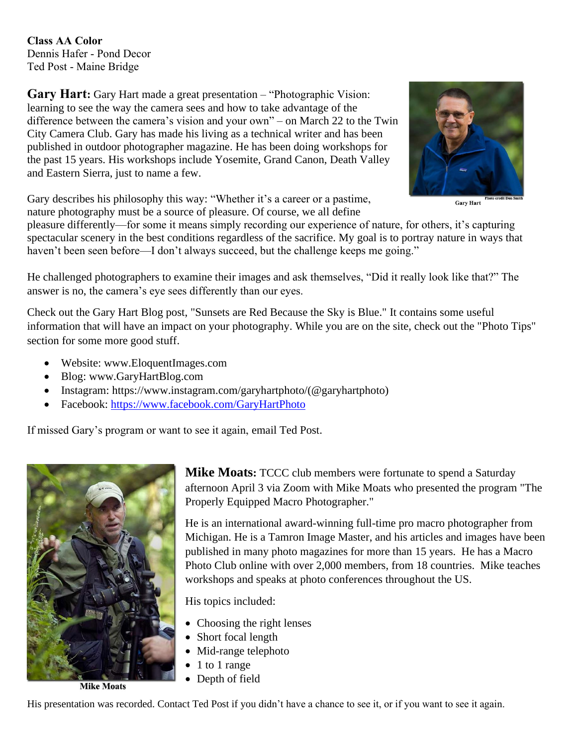**Class AA Color** Dennis Hafer - Pond Decor Ted Post - Maine Bridge

**Gary Hart:** Gary Hart made a great presentation – "Photographic Vision: learning to see the way the camera sees and how to take advantage of the difference between the camera's vision and your own" – on March 22 to the Twin City Camera Club. Gary has made his living as a technical writer and has been published in outdoor photographer magazine. He has been doing workshops for the past 15 years. His workshops include Yosemite, Grand Canon, Death Valley and Eastern Sierra, just to name a few.



**Gary Hart** 

Gary describes his philosophy this way: "Whether it's a career or a pastime, nature photography must be a source of pleasure. Of course, we all define

pleasure differently—for some it means simply recording our experience of nature, for others, it's capturing spectacular scenery in the best conditions regardless of the sacrifice. My goal is to portray nature in ways that haven't been seen before—I don't always succeed, but the challenge keeps me going."

He challenged photographers to examine their images and ask themselves, "Did it really look like that?" The answer is no, the camera's eye sees differently than our eyes.

Check out the Gary Hart Blog post, "Sunsets are Red Because the Sky is Blue." It contains some useful information that will have an impact on your photography. While you are on the site, check out the "Photo Tips" section for some more good stuff.

- Website: www.EloquentImages.com
- Blog: www.GaryHartBlog.com
- Instagram: https://www.instagram.com/garyhartphoto/(@garyhartphoto)
- Facebook:<https://www.facebook.com/GaryHartPhoto>

If missed Gary's program or want to see it again, email Ted Post.



**Mike Moats:** TCCC club members were fortunate to spend a Saturday afternoon April 3 via Zoom with Mike Moats who presented the program "The Properly Equipped Macro Photographer."

He is an international award-winning full-time pro macro photographer from Michigan. He is a Tamron Image Master, and his articles and images have been published in many photo magazines for more than 15 years. He has a Macro Photo Club online with over 2,000 members, from 18 countries. Mike teaches workshops and speaks at photo conferences throughout the US.

His topics included:

- Choosing the right lenses
- Short focal length
- Mid-range telephoto
- 1 to 1 range
- Depth of field

His presentation was recorded. Contact Ted Post if you didn't have a chance to see it, or if you want to see it again.